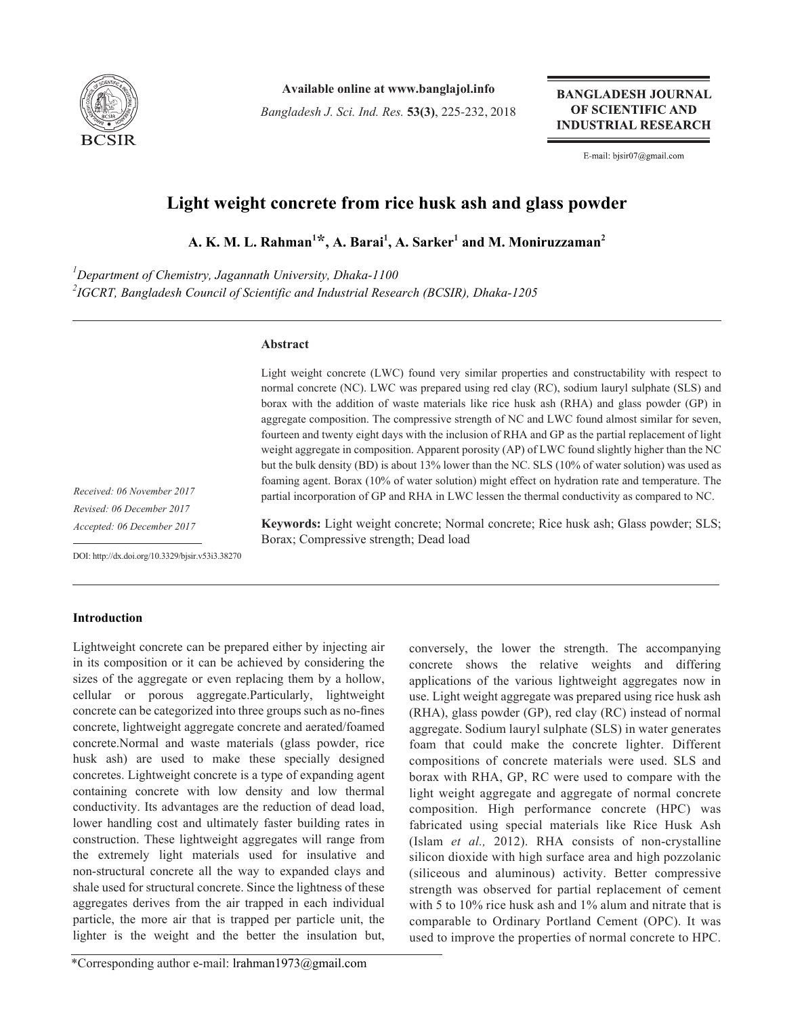

**Available online at www.banglajol.info**

*Bangladesh J. Sci. Ind. Res.* **53(3)**, 225-232, 2018

**BANGLADESH JOURNAL** OF SCIENTIFIC AND **INDUSTRIAL RESEARCH** 

E-mail: bjsir07@gmail.com

# **Light weight concrete from rice husk ash and glass powder**

**A. K. M. L. Rahman<sup>1</sup> \*, A. Barai1 , A. Sarker<sup>1</sup> and M. Moniruzzaman2**

*1 Department of Chemistry, Jagannath University, Dhaka-1100 2 IGCRT, Bangladesh Council of Scientific and Industrial Research (BCSIR), Dhaka-1205*

## **Abstract**

Light weight concrete (LWC) found very similar properties and constructability with respect to normal concrete (NC). LWC was prepared using red clay (RC), sodium lauryl sulphate (SLS) and borax with the addition of waste materials like rice husk ash (RHA) and glass powder (GP) in aggregate composition. The compressive strength of NC and LWC found almost similar for seven, fourteen and twenty eight days with the inclusion of RHA and GP as the partial replacement of light weight aggregate in composition. Apparent porosity (AP) of LWC found slightly higher than the NC but the bulk density (BD) is about 13% lower than the NC. SLS (10% of water solution) was used as foaming agent. Borax (10% of water solution) might effect on hydration rate and temperature. The partial incorporation of GP and RHA in LWC lessen the thermal conductivity as compared to NC.

*Received: 06 November 2017 Revised: 06 December 2017 Accepted: 06 December 2017*

**Keywords:** Light weight concrete; Normal concrete; Rice husk ash; Glass powder; SLS; Borax; Compressive strength; Dead load

DOI: http://dx.doi.org/10.3329/bjsir.v53i3.38270

# **Introduction**

Lightweight concrete can be prepared either by injecting air in its composition or it can be achieved by considering the sizes of the aggregate or even replacing them by a hollow, cellular or porous aggregate.Particularly, lightweight concrete can be categorized into three groups such as no-fines concrete, lightweight aggregate concrete and aerated/foamed concrete.Normal and waste materials (glass powder, rice husk ash) are used to make these specially designed concretes. Lightweight concrete is a type of expanding agent containing concrete with low density and low thermal conductivity. Its advantages are the reduction of dead load, lower handling cost and ultimately faster building rates in construction. These lightweight aggregates will range from the extremely light materials used for insulative and non-structural concrete all the way to expanded clays and shale used for structural concrete. Since the lightness of these aggregates derives from the air trapped in each individual particle, the more air that is trapped per particle unit, the lighter is the weight and the better the insulation but,

conversely, the lower the strength. The accompanying concrete shows the relative weights and differing applications of the various lightweight aggregates now in use. Light weight aggregate was prepared using rice husk ash (RHA), glass powder (GP), red clay (RC) instead of normal aggregate. Sodium lauryl sulphate (SLS) in water generates foam that could make the concrete lighter. Different compositions of concrete materials were used. SLS and borax with RHA, GP, RC were used to compare with the light weight aggregate and aggregate of normal concrete composition. High performance concrete (HPC) was fabricated using special materials like Rice Husk Ash (Islam *et al.,* 2012). RHA consists of non-crystalline silicon dioxide with high surface area and high pozzolanic (siliceous and aluminous) activity. Better compressive strength was observed for partial replacement of cement with 5 to 10% rice husk ash and 1% alum and nitrate that is comparable to Ordinary Portland Cement (OPC). It was used to improve the properties of normal concrete to HPC.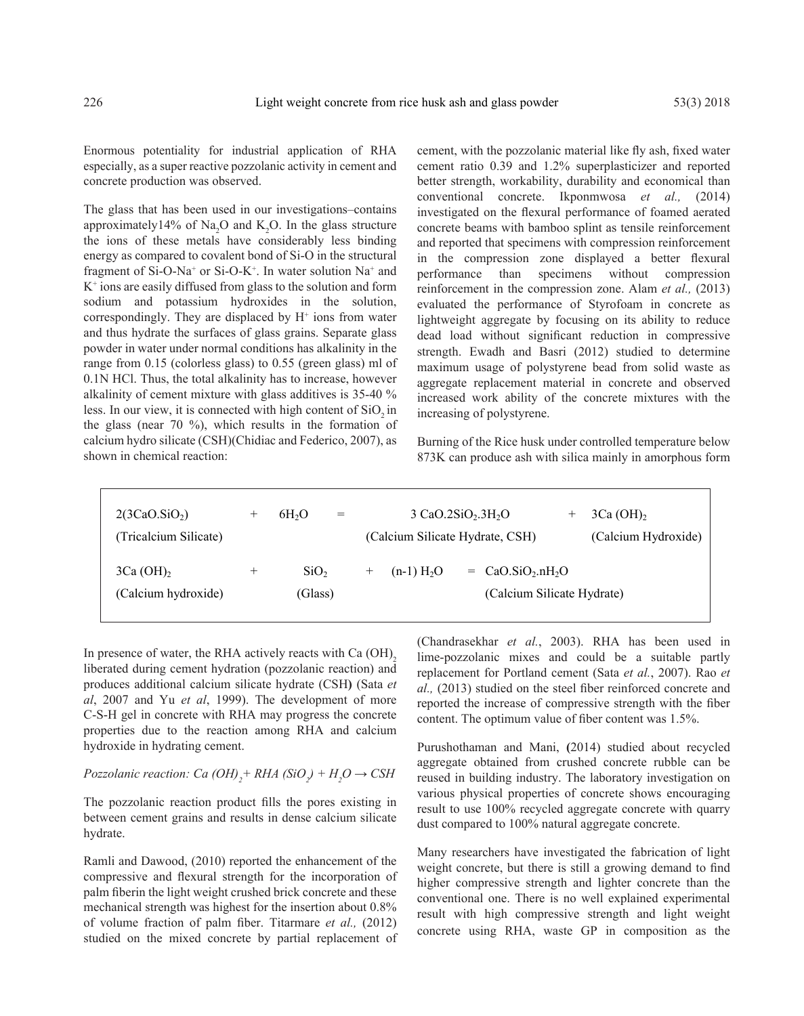Enormous potentiality for industrial application of RHA especially, as a super reactive pozzolanic activity in cement and concrete production was observed.

The glass that has been used in our investigations–contains approximately14% of  $Na<sub>2</sub>O$  and  $K<sub>2</sub>O$ . In the glass structure the ions of these metals have considerably less binding energy as compared to covalent bond of Si-O in the structural fragment of  $Si-O-Na^+$  or  $Si-O-K^+$ . In water solution  $Na^+$  and K+ ions are easily diffused from glass to the solution and form sodium and potassium hydroxides in the solution, correspondingly. They are displaced by  $H^+$  ions from water and thus hydrate the surfaces of glass grains. Separate glass powder in water under normal conditions has alkalinity in the range from 0.15 (colorless glass) to 0.55 (green glass) ml of 0.1N HCl. Thus, the total alkalinity has to increase, however alkalinity of cement mixture with glass additives is 35-40 % less. In our view, it is connected with high content of  $SiO<sub>2</sub>$  in the glass (near 70 %), which results in the formation of calcium hydro silicate (CSH)(Chidiac and Federico, 2007), as shown in chemical reaction:

cement, with the pozzolanic material like fly ash, fixed water cement ratio 0.39 and 1.2% superplasticizer and reported better strength, workability, durability and economical than conventional concrete. Ikponmwosa *et al.,* (2014) investigated on the flexural performance of foamed aerated concrete beams with bamboo splint as tensile reinforcement and reported that specimens with compression reinforcement in the compression zone displayed a better flexural performance than specimens without compression reinforcement in the compression zone. Alam *et al.,* (2013) evaluated the performance of Styrofoam in concrete as lightweight aggregate by focusing on its ability to reduce dead load without significant reduction in compressive strength. Ewadh and Basri (2012) studied to determine maximum usage of polystyrene bead from solid waste as aggregate replacement material in concrete and observed increased work ability of the concrete mixtures with the increasing of polystyrene.

Burning of the Rice husk under controlled temperature below 873K can produce ash with silica mainly in amorphous form

| 2(3CaO.SiO <sub>2</sub> )<br>(Tricalcium Silicate) |      | 6H <sub>2</sub> O<br>$=$    | 3 CaO.2SiO $_2$ .3H $_2$ O<br>3Ca(OH) <sub>2</sub><br>(Calcium Silicate Hydrate, CSH)<br>(Calcium Hydroxide) |
|----------------------------------------------------|------|-----------------------------|--------------------------------------------------------------------------------------------------------------|
| 3Ca(OH) <sub>2</sub><br>(Calcium hydroxide)        | $^+$ | SiO <sub>2</sub><br>(Glass) | $=$ CaO.SiO <sub>2</sub> .nH <sub>2</sub> O<br>$(n-1)$ H <sub>2</sub> O<br>+<br>(Calcium Silicate Hydrate)   |

In presence of water, the RHA actively reacts with  $Ca(OH)$ <sub>2</sub> liberated during cement hydration (pozzolanic reaction) and produces additional calcium silicate hydrate (CSH**)** (Sata *et al*, 2007 and Yu *et al*, 1999). The development of more C-S-H gel in concrete with RHA may progress the concrete properties due to the reaction among RHA and calcium hydroxide in hydrating cement.

# *Pozzolanic reaction: Ca*  $(OH)_2$ <sup>+</sup> *RHA*  $(SiO_2)$ <sup>+</sup>  $H_2O \rightarrow CSH$

The pozzolanic reaction product fills the pores existing in between cement grains and results in dense calcium silicate hydrate.

Ramli and Dawood, (2010) reported the enhancement of the compressive and flexural strength for the incorporation of palm fiberin the light weight crushed brick concrete and these mechanical strength was highest for the insertion about 0.8% of volume fraction of palm fiber. Titarmare *et al.,* (2012) studied on the mixed concrete by partial replacement of (Chandrasekhar *et al.*, 2003). RHA has been used in lime-pozzolanic mixes and could be a suitable partly replacement for Portland cement (Sata *et al.*, 2007). Rao *et al.,* (2013) studied on the steel fiber reinforced concrete and reported the increase of compressive strength with the fiber content. The optimum value of fiber content was 1.5%.

Purushothaman and Mani, **(**2014) studied about recycled aggregate obtained from crushed concrete rubble can be reused in building industry. The laboratory investigation on various physical properties of concrete shows encouraging result to use 100% recycled aggregate concrete with quarry dust compared to 100% natural aggregate concrete.

Many researchers have investigated the fabrication of light weight concrete, but there is still a growing demand to find higher compressive strength and lighter concrete than the conventional one. There is no well explained experimental result with high compressive strength and light weight concrete using RHA, waste GP in composition as the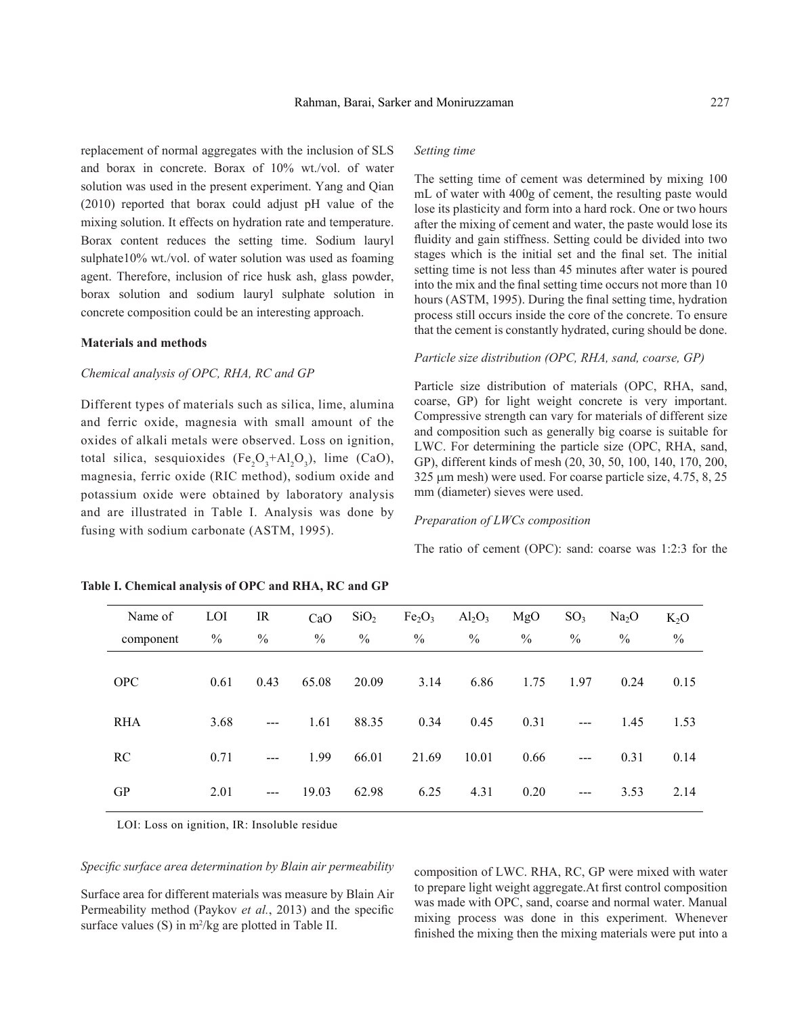replacement of normal aggregates with the inclusion of SLS and borax in concrete. Borax of 10% wt./vol. of water solution was used in the present experiment. Yang and Qian (2010) reported that borax could adjust pH value of the mixing solution. It effects on hydration rate and temperature. Borax content reduces the setting time. Sodium lauryl sulphate10% wt./vol. of water solution was used as foaming agent. Therefore, inclusion of rice husk ash, glass powder, borax solution and sodium lauryl sulphate solution in concrete composition could be an interesting approach.

### **Materials and methods**

## *Chemical analysis of OPC, RHA, RC and GP*

Different types of materials such as silica, lime, alumina and ferric oxide, magnesia with small amount of the oxides of alkali metals were observed. Loss on ignition, total silica, sesquioxides  $(Fe<sub>2</sub>O<sub>3</sub>+Al<sub>2</sub>O<sub>3</sub>)$ , lime (CaO), magnesia, ferric oxide (RIC method), sodium oxide and potassium oxide were obtained by laboratory analysis and are illustrated in Table I. Analysis was done by fusing with sodium carbonate (ASTM, 1995).

## *Setting time*

The setting time of cement was determined by mixing 100 mL of water with 400g of cement, the resulting paste would lose its plasticity and form into a hard rock. One or two hours after the mixing of cement and water, the paste would lose its fluidity and gain stiffness. Setting could be divided into two stages which is the initial set and the final set. The initial setting time is not less than 45 minutes after water is poured into the mix and the final setting time occurs not more than 10 hours (ASTM, 1995). During the final setting time, hydration process still occurs inside the core of the concrete. To ensure that the cement is constantly hydrated, curing should be done.

#### *Particle size distribution (OPC, RHA, sand, coarse, GP)*

Particle size distribution of materials (OPC, RHA, sand, coarse, GP) for light weight concrete is very important. Compressive strength can vary for materials of different size and composition such as generally big coarse is suitable for LWC. For determining the particle size (OPC, RHA, sand, GP), different kinds of mesh (20, 30, 50, 100, 140, 170, 200, 325 µm mesh) were used. For coarse particle size, 4.75, 8, 25 mm (diameter) sieves were used.

#### *Preparation of LWCs composition*

The ratio of cement (OPC): sand: coarse was 1:2:3 for the

| Name of    | <b>LOI</b>    | IR            | CaO           | SiO <sub>2</sub> | Fe <sub>2</sub> O <sub>3</sub> | $Al_2O_3$     | MgO           | SO <sub>3</sub> | Na <sub>2</sub> O | $K_2O$        |
|------------|---------------|---------------|---------------|------------------|--------------------------------|---------------|---------------|-----------------|-------------------|---------------|
| component  | $\frac{0}{0}$ | $\frac{0}{0}$ | $\frac{0}{0}$ | $\%$             | $\frac{0}{0}$                  | $\frac{0}{0}$ | $\frac{0}{0}$ | $\frac{0}{0}$   | $\frac{0}{0}$     | $\frac{0}{0}$ |
| <b>OPC</b> | 0.61          | 0.43          | 65.08         | 20.09            | 3.14                           | 6.86          | 1.75          | 1.97            | 0.24              | 0.15          |
| <b>RHA</b> | 3.68          | $---$         | 1.61          | 88.35            | 0.34                           | 0.45          | 0.31          | $---$           | 1.45              | 1.53          |
| RC         | 0.71          | $---$         | 1.99          | 66.01            | 21.69                          | 10.01         | 0.66          | $---$           | 0.31              | 0.14          |
| GP         | 2.01          | ---           | 19.03         | 62.98            | 6.25                           | 4.31          | 0.20          | ---             | 3.53              | 2.14          |

### **Table I. Chemical analysis of OPC and RHA, RC and GP**

LOI: Loss on ignition, IR: Insoluble residue

#### *Specific surface area determination by Blain air permeability*

Surface area for different materials was measure by Blain Air Permeability method (Paykov *et al.*, 2013) and the specific surface values  $(S)$  in  $m^2/kg$  are plotted in Table II.

composition of LWC. RHA, RC, GP were mixed with water to prepare light weight aggregate.At first control composition was made with OPC, sand, coarse and normal water. Manual mixing process was done in this experiment. Whenever finished the mixing then the mixing materials were put into a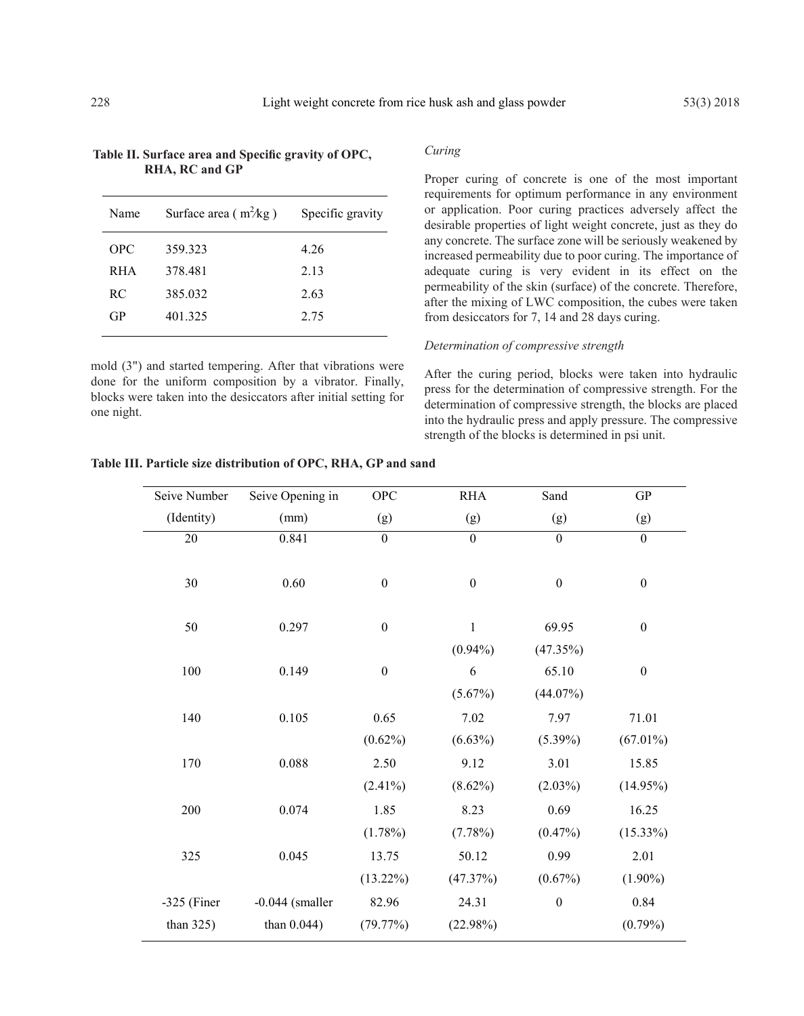| Name       | Surface area $(m^2/kg)$ | Specific gravity |
|------------|-------------------------|------------------|
| <b>OPC</b> | 359.323                 | 4.26             |
| <b>RHA</b> | 378.481                 | 2.13             |
| <b>RC</b>  | 385.032                 | 2.63             |
| GP         | 401.325                 | 2.75             |
|            |                         |                  |

## **Table II. Surface area and Specific gravity of OPC, RHA, RC and GP**

mold (3") and started tempering. After that vibrations were done for the uniform composition by a vibrator. Finally, blocks were taken into the desiccators after initial setting for one night.

## *Curing*

Proper curing of concrete is one of the most important requirements for optimum performance in any environment or application. Poor curing practices adversely affect the desirable properties of light weight concrete, just as they do any concrete. The surface zone will be seriously weakened by increased permeability due to poor curing. The importance of adequate curing is very evident in its effect on the permeability of the skin (surface) of the concrete. Therefore, after the mixing of LWC composition, the cubes were taken from desiccators for 7, 14 and 28 days curing.

## *Determination of compressive strength*

After the curing period, blocks were taken into hydraulic press for the determination of compressive strength. For the determination of compressive strength, the blocks are placed into the hydraulic press and apply pressure. The compressive strength of the blocks is determined in psi unit.

|  | Table III. Particle size distribution of OPC, RHA, GP and sand |  |  |  |
|--|----------------------------------------------------------------|--|--|--|
|  |                                                                |  |  |  |

| Seive Number  | Seive Opening in  | <b>OPC</b>       | <b>RHA</b>       | Sand             | ${\bf GP}$       |
|---------------|-------------------|------------------|------------------|------------------|------------------|
| (Identity)    | (mm)              | (g)              | (g)              | (g)              | (g)              |
| 20            | 0.841             | $\overline{0}$   | $\boldsymbol{0}$ | $\boldsymbol{0}$ | $\boldsymbol{0}$ |
| 30            | 0.60              | $\boldsymbol{0}$ | $\boldsymbol{0}$ | $\boldsymbol{0}$ | $\boldsymbol{0}$ |
| 50            | 0.297             | $\boldsymbol{0}$ | $\mathbf{1}$     | 69.95            | $\boldsymbol{0}$ |
|               |                   |                  | $(0.94\%)$       | (47.35%)         |                  |
| 100           | 0.149             | $\boldsymbol{0}$ | 6                | 65.10            | $\boldsymbol{0}$ |
|               |                   |                  | $(5.67\%)$       | (44.07%)         |                  |
| 140           | 0.105             | 0.65             | 7.02             | 7.97             | 71.01            |
|               |                   | $(0.62\%)$       | $(6.63\%)$       | $(5.39\%)$       | $(67.01\%)$      |
| 170           | 0.088             | 2.50             | 9.12             | 3.01             | 15.85            |
|               |                   | $(2.41\%)$       | $(8.62\%)$       | $(2.03\%)$       | $(14.95\%)$      |
| 200           | 0.074             | 1.85             | 8.23             | 0.69             | 16.25            |
|               |                   | $(1.78\%)$       | (7.78%)          | $(0.47\%)$       | $(15.33\%)$      |
| 325           | 0.045             | 13.75            | 50.12            | 0.99             | 2.01             |
|               |                   | $(13.22\%)$      | (47.37%)         | $(0.67\%)$       | $(1.90\%)$       |
| $-325$ (Finer | $-0.044$ (smaller | 82.96            | 24.31            | $\boldsymbol{0}$ | 0.84             |
| than $325$ )  | than $0.044$ )    | (79.77%)         | $(22.98\%)$      |                  | $(0.79\%)$       |

à.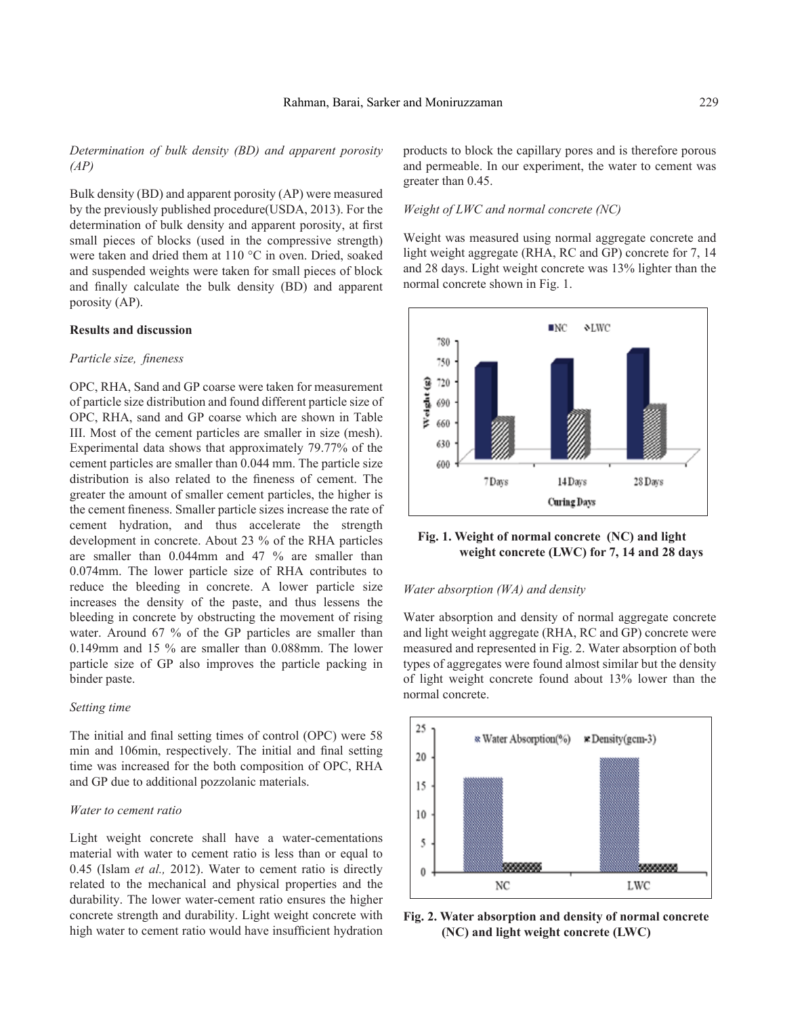# *Determination of bulk density (BD) and apparent porosity (AP)*

Bulk density (BD) and apparent porosity (AP) were measured by the previously published procedure(USDA, 2013). For the determination of bulk density and apparent porosity, at first small pieces of blocks (used in the compressive strength) were taken and dried them at 110 °C in oven. Dried, soaked and suspended weights were taken for small pieces of block and finally calculate the bulk density (BD) and apparent porosity (AP).

## **Results and discussion**

#### *Particle size, fineness*

OPC, RHA, Sand and GP coarse were taken for measurement of particle size distribution and found different particle size of OPC, RHA, sand and GP coarse which are shown in Table III. Most of the cement particles are smaller in size (mesh). Experimental data shows that approximately 79.77% of the cement particles are smaller than 0.044 mm. The particle size distribution is also related to the fineness of cement. The greater the amount of smaller cement particles, the higher is the cement fineness. Smaller particle sizes increase the rate of cement hydration, and thus accelerate the strength development in concrete. About 23 % of the RHA particles are smaller than 0.044mm and 47 % are smaller than 0.074mm. The lower particle size of RHA contributes to reduce the bleeding in concrete. A lower particle size increases the density of the paste, and thus lessens the bleeding in concrete by obstructing the movement of rising water. Around 67 % of the GP particles are smaller than 0.149mm and 15 % are smaller than 0.088mm. The lower particle size of GP also improves the particle packing in binder paste.

## *Setting time*

The initial and final setting times of control (OPC) were 58 min and 106min, respectively. The initial and final setting time was increased for the both composition of OPC, RHA and GP due to additional pozzolanic materials.

### *Water to cement ratio*

Light weight concrete shall have a water-cementations material with water to cement ratio is less than or equal to 0.45 (Islam *et al.,* 2012). Water to cement ratio is directly related to the mechanical and physical properties and the durability. The lower water-cement ratio ensures the higher concrete strength and durability. Light weight concrete with high water to cement ratio would have insufficient hydration

products to block the capillary pores and is therefore porous and permeable. In our experiment, the water to cement was greater than 0.45.

### *Weight of LWC and normal concrete (NC)*

Weight was measured using normal aggregate concrete and light weight aggregate (RHA, RC and GP) concrete for 7, 14 and 28 days. Light weight concrete was 13% lighter than the normal concrete shown in Fig. 1.



**Fig. 1. Weight of normal concrete (NC) and light weight concrete (LWC) for 7, 14 and 28 days**

#### *Water absorption (WA) and density*

Water absorption and density of normal aggregate concrete and light weight aggregate (RHA, RC and GP) concrete were measured and represented in Fig. 2. Water absorption of both types of aggregates were found almost similar but the density of light weight concrete found about 13% lower than the normal concrete.



**Fig. 2. Water absorption and density of normal concrete (NC) and light weight concrete (LWC)**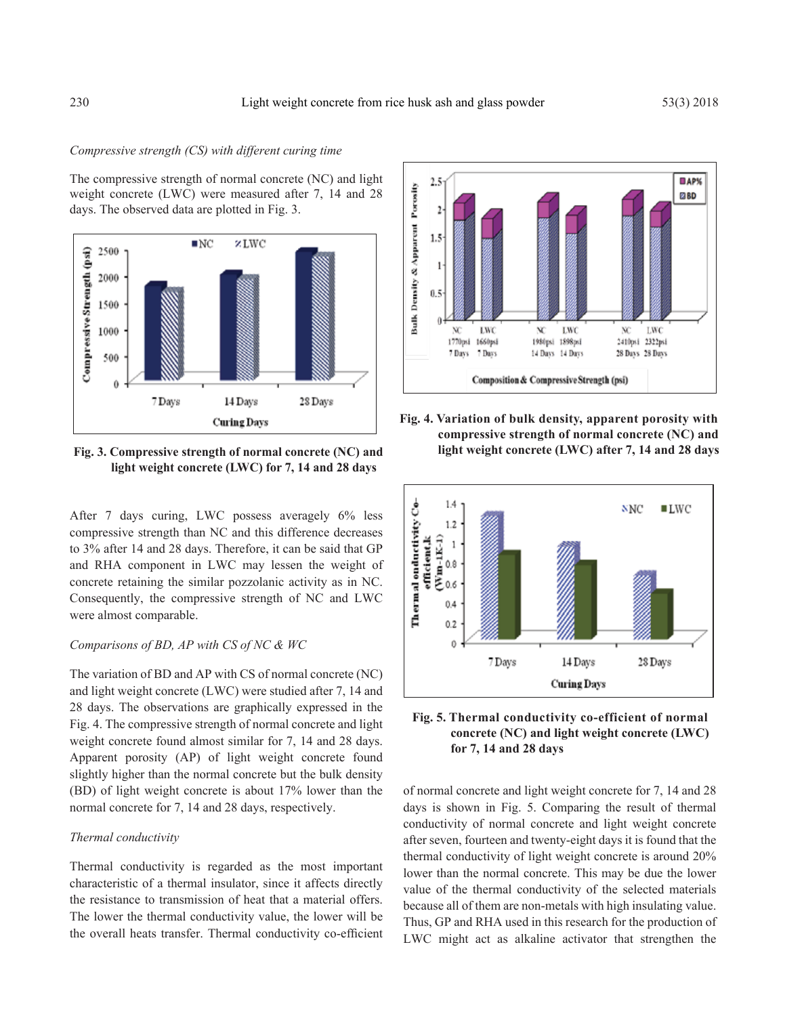The compressive strength of normal concrete (NC) and light weight concrete (LWC) were measured after 7, 14 and 28 days. The observed data are plotted in Fig. 3.



**Fig. 3. Compressive strength of normal concrete (NC) and light weight concrete (LWC) for 7, 14 and 28 days**

After 7 days curing, LWC possess averagely 6% less compressive strength than NC and this difference decreases to 3% after 14 and 28 days. Therefore, it can be said that GP and RHA component in LWC may lessen the weight of concrete retaining the similar pozzolanic activity as in NC. Consequently, the compressive strength of NC and LWC were almost comparable.

# *Comparisons of BD, AP with CS of NC & WC*

The variation of BD and AP with CS of normal concrete (NC) and light weight concrete (LWC) were studied after 7, 14 and 28 days. The observations are graphically expressed in the Fig. 4. The compressive strength of normal concrete and light weight concrete found almost similar for 7, 14 and 28 days. Apparent porosity (AP) of light weight concrete found slightly higher than the normal concrete but the bulk density (BD) of light weight concrete is about 17% lower than the normal concrete for 7, 14 and 28 days, respectively.

# *Thermal conductivity*

Thermal conductivity is regarded as the most important characteristic of a thermal insulator, since it affects directly the resistance to transmission of heat that a material offers. The lower the thermal conductivity value, the lower will be the overall heats transfer. Thermal conductivity co-efficient



**Fig. 4. Variation of bulk density, apparent porosity with compressive strength of normal concrete (NC) and light weight concrete (LWC) after 7, 14 and 28 days**



**Fig. 5. Thermal conductivity co-efficient of normal concrete (NC) and light weight concrete (LWC) for 7, 14 and 28 days**

of normal concrete and light weight concrete for 7, 14 and 28 days is shown in Fig. 5. Comparing the result of thermal conductivity of normal concrete and light weight concrete after seven, fourteen and twenty-eight days it is found that the thermal conductivity of light weight concrete is around 20% lower than the normal concrete. This may be due the lower value of the thermal conductivity of the selected materials because all of them are non-metals with high insulating value. Thus, GP and RHA used in this research for the production of LWC might act as alkaline activator that strengthen the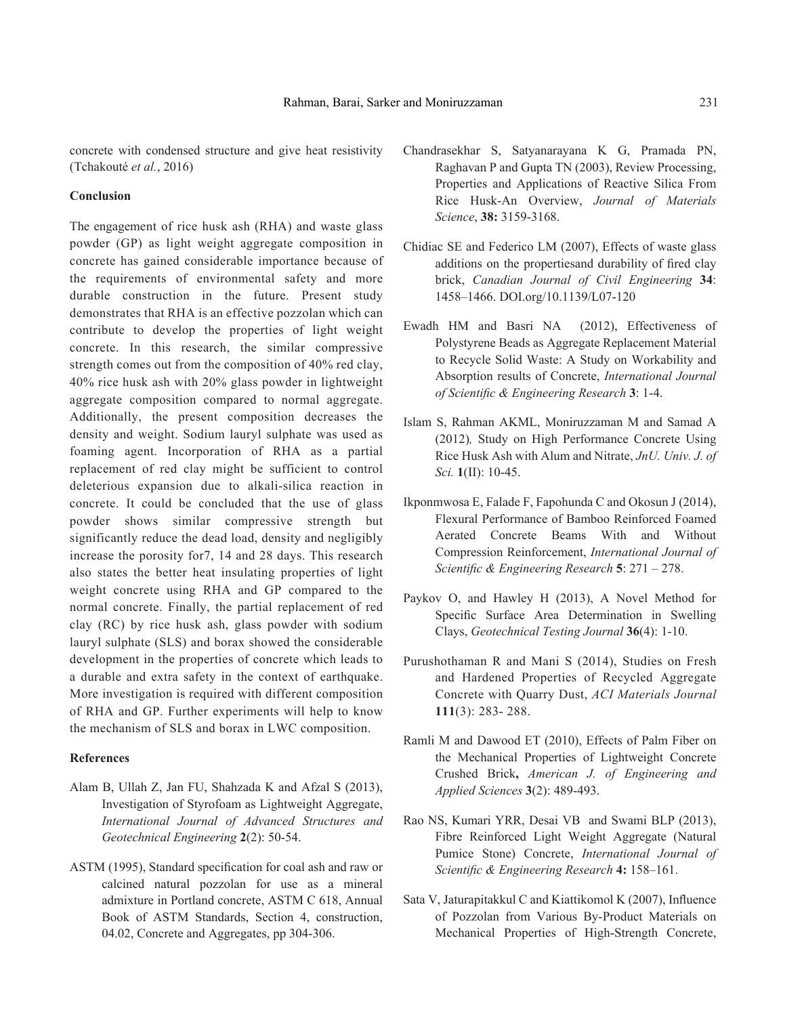concrete with condensed structure and give heat resistivity (Tchakouté *et al.*, 2016)

### **Conclusion**

The engagement of rice husk ash (RHA) and waste glass powder (GP) as light weight aggregate composition in concrete has gained considerable importance because of the requirements of environmental safety and more durable construction in the future. Present study demonstrates that RHA is an effective pozzolan which can contribute to develop the properties of light weight concrete. In this research, the similar compressive strength comes out from the composition of 40% red clay, 40% rice husk ash with 20% glass powder in lightweight aggregate composition compared to normal aggregate. Additionally, the present composition decreases the density and weight. Sodium lauryl sulphate was used as foaming agent. Incorporation of RHA as a partial replacement of red clay might be sufficient to control deleterious expansion due to alkali-silica reaction in concrete. It could be concluded that the use of glass powder shows similar compressive strength but significantly reduce the dead load, density and negligibly increase the porosity for7, 14 and 28 days. This research also states the better heat insulating properties of light weight concrete using RHA and GP compared to the normal concrete. Finally, the partial replacement of red clay (RC) by rice husk ash, glass powder with sodium lauryl sulphate (SLS) and borax showed the considerable development in the properties of concrete which leads to a durable and extra safety in the context of earthquake. More investigation is required with different composition of RHA and GP. Further experiments will help to know the mechanism of SLS and borax in LWC composition.

## **References**

- Alam B, Ullah Z, Jan FU, Shahzada K and Afzal S (2013), Investigation of Styrofoam as Lightweight Aggregate, *International Journal of Advanced Structures and Geotechnical Engineering* **2**(2): 50-54.
- ASTM (1995), Standard specification for coal ash and raw or calcined natural pozzolan for use as a mineral admixture in Portland concrete, ASTM C 618, Annual Book of ASTM Standards, Section 4, construction, 04.02, Concrete and Aggregates, pp 304-306.
- Chandrasekhar S, Satyanarayana K G, Pramada PN, Raghavan P and Gupta TN (2003), Review Processing, Properties and Applications of Reactive Silica From Rice Husk-An Overview, *Journal of Materials Science*, **38:** 3159-3168.
- Chidiac SE and Federico LM (2007), Effects of waste glass additions on the propertiesand durability of fired clay brick, *Canadian Journal of Civil Engineering* **34**: 1458–1466. DOI.org/10.1139/L07-120
- Ewadh HM and Basri NA (2012), Effectiveness of Polystyrene Beads as Aggregate Replacement Material to Recycle Solid Waste: A Study on Workability and Absorption results of Concrete, *International Journal of Scientific & Engineering Research* **3**: 1-4.
- Islam S, Rahman AKML, Moniruzzaman M and Samad A (2012)*,* Study on High Performance Concrete Using Rice Husk Ash with Alum and Nitrate, *JnU. Univ. J. of Sci.* **1**(II): 10-45.
- Ikponmwosa E, Falade F, Fapohunda C and Okosun J (2014), Flexural Performance of Bamboo Reinforced Foamed Aerated Concrete Beams With and Without Compression Reinforcement, *International Journal of Scientific & Engineering Research* **5**: 271 – 278.
- Paykov O, and Hawley H (2013), A Novel Method for Specific Surface Area Determination in Swelling Clays, *Geotechnical Testing Journal* **36**(4): 1-10.
- Purushothaman R and Mani S (2014), Studies on Fresh and Hardened Properties of Recycled Aggregate Concrete with Quarry Dust, *ACI Materials Journal* **111**(3): 283- 288.
- Ramli M and Dawood ET (2010), Effects of Palm Fiber on the Mechanical Properties of Lightweight Concrete Crushed Brick**,** *American J. of Engineering and Applied Sciences* **3**(2): 489-493.
- Rao NS, Kumari YRR, Desai VB and Swami BLP (2013), Fibre Reinforced Light Weight Aggregate (Natural Pumice Stone) Concrete, *International Journal of Scientific & Engineering Research* **4:** 158–161.
- Sata V, Jaturapitakkul C and Kiattikomol K (2007), Influence of Pozzolan from Various By-Product Materials on Mechanical Properties of High-Strength Concrete,